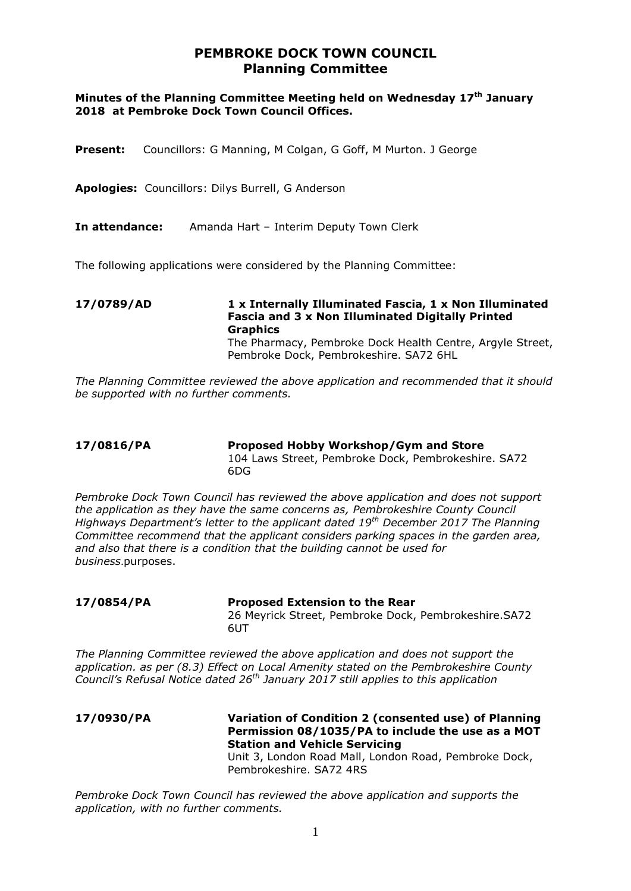# **PEMBROKE DOCK TOWN COUNCIL Planning Committee**

### **Minutes of the Planning Committee Meeting held on Wednesday 17th January 2018 at Pembroke Dock Town Council Offices.**

- **Present:** Councillors: G Manning, M Colgan, G Goff, M Murton. J George
- **Apologies:** Councillors: Dilys Burrell, G Anderson
- **In attendance:** Amanda Hart Interim Deputy Town Clerk

The following applications were considered by the Planning Committee:

**17/0789/AD 1 x Internally Illuminated Fascia, 1 x Non Illuminated Fascia and 3 x Non Illuminated Digitally Printed Graphics** The Pharmacy, Pembroke Dock Health Centre, Argyle Street, Pembroke Dock, Pembrokeshire. SA72 6HL

*The Planning Committee reviewed the above application and recommended that it should be supported with no further comments.*

### **17/0816/PA Proposed Hobby Workshop/Gym and Store** 104 Laws Street, Pembroke Dock, Pembrokeshire. SA72 6DG

*Pembroke Dock Town Council has reviewed the above application and does not support the application as they have the same concerns as, Pembrokeshire County Council Highways Department's letter to the applicant dated 19th December 2017 The Planning Committee recommend that the applicant considers parking spaces in the garden area, and also that there is a condition that the building cannot be used for business*.purposes.

### **17/0854/PA Proposed Extension to the Rear**

26 Meyrick Street, Pembroke Dock, Pembrokeshire.SA72 6UT

*The Planning Committee reviewed the above application and does not support the application. as per (8.3) Effect on Local Amenity stated on the Pembrokeshire County Council's Refusal Notice dated 26th January 2017 still applies to this application* 

**17/0930/PA Variation of Condition 2 (consented use) of Planning Permission 08/1035/PA to include the use as a MOT Station and Vehicle Servicing** Unit 3, London Road Mall, London Road, Pembroke Dock, Pembrokeshire. SA72 4RS

*Pembroke Dock Town Council has reviewed the above application and supports the application, with no further comments.*